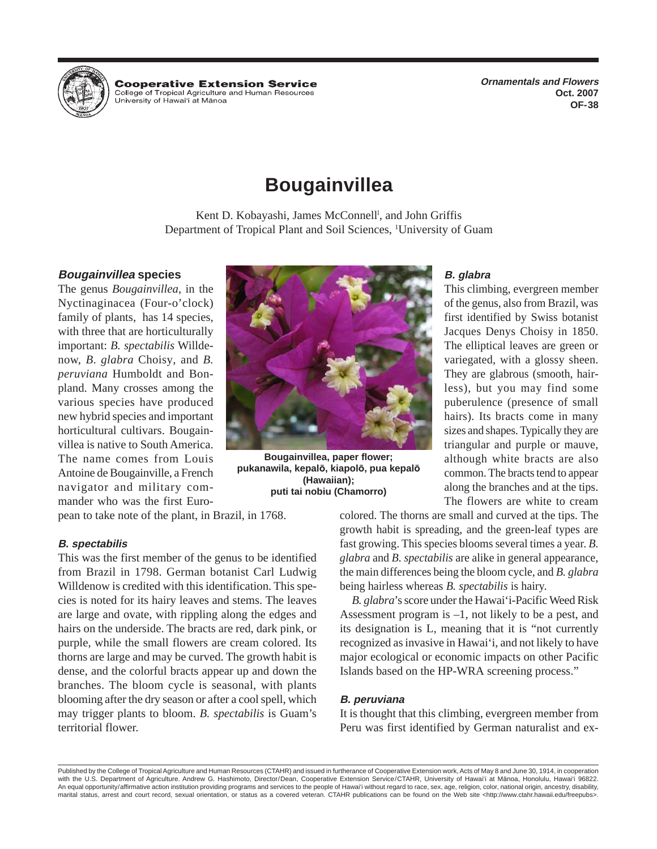

**Cooperative Extension Service** College of Tropical Agriculture and Human Resources University of Hawai'i at Mānoa

**Ornamentals and Flowers Oct. 2007 OF-38** 

# **Bougainvillea**

Kent D. Kobayashi, James McConnell<sup>1</sup>, and John Griffis Department of Tropical Plant and Soil Sciences, <sup>1</sup>University of Guam

#### **Bougainvillea species**

The genus *Bougainvillea*, in the Nyctinaginacea (Four-o'clock) family of plants, has 14 species, with three that are horticulturally important: *B. spectabilis* Willdenow, *B*. *glabra* Choisy*,* and *B. peruviana* Humboldt and Bonpland. Many crosses among the various species have produced new hybrid species and important horticultural cultivars. Bougainvillea is native to South America. The name comes from Louis Antoine de Bougainville, a French navigator and military commander who was the first Euro-



**Bougainvillea, paper flower; pukanawila, kepalö, kiapolö, pua kepalö (Hawaiian); puti tai nobiu (Chamorro)** 

## **B. glabra**

This climbing, evergreen member of the genus, also from Brazil, was first identified by Swiss botanist Jacques Denys Choisy in 1850. The elliptical leaves are green or variegated, with a glossy sheen. They are glabrous (smooth, hairless), but you may find some puberulence (presence of small hairs). Its bracts come in many sizes and shapes. Typically they are triangular and purple or mauve, although white bracts are also common. The bracts tend to appear along the branches and at the tips. The flowers are white to cream

pean to take note of the plant, in Brazil, in 1768.

#### **B. spectabilis**

This was the first member of the genus to be identified from Brazil in 1798. German botanist Carl Ludwig Willdenow is credited with this identification. This species is noted for its hairy leaves and stems. The leaves are large and ovate, with rippling along the edges and hairs on the underside. The bracts are red, dark pink, or purple, while the small flowers are cream colored. Its thorns are large and may be curved. The growth habit is dense, and the colorful bracts appear up and down the branches. The bloom cycle is seasonal, with plants blooming after the dry season or after a cool spell, which may trigger plants to bloom. *B. spectabilis* is Guam's territorial flower.

colored. The thorns are small and curved at the tips. The growth habit is spreading, and the green-leaf types are fast growing. This species blooms several times a year. *B. glabra* and *B. spectabilis* are alike in general appearance, the main differences being the bloom cycle, and *B. glabra*  being hairless whereas *B. spectabilis* is hairy.

*B. glabra*'s score under the Hawai'i-Pacific Weed Risk Assessment program is –1, not likely to be a pest, and its designation is L, meaning that it is "not currently recognized as invasive in Hawai'i, and not likely to have major ecological or economic impacts on other Pacific Islands based on the HP-WRA screening process."

### **B. peruviana**

It is thought that this climbing, evergreen member from Peru was first identified by German naturalist and ex-

Published by the College of Tropical Agriculture and Human Resources (CTAHR) and issued in furtherance of Cooperative Extension work, Acts of May 8 and June 30, 1914, in cooperation with the U.S. Department of Agriculture. Andrew G. Hashimoto, Director/Dean, Cooperative Extension Service/CTAHR, University of Hawai'i at Mänoa, Honolulu, Hawai'i 96822. An equal opportunity/affirmative action institution providing programs and services to the people of Hawai'i without regard to race, sex, age, religion, color, national origin, ancestry, disability, marital status, arrest and court record, sexual orientation, or status as a covered veteran. CTAHR publications can be found on the Web site <http://www.ctahr.hawaii.edu/freepubs>.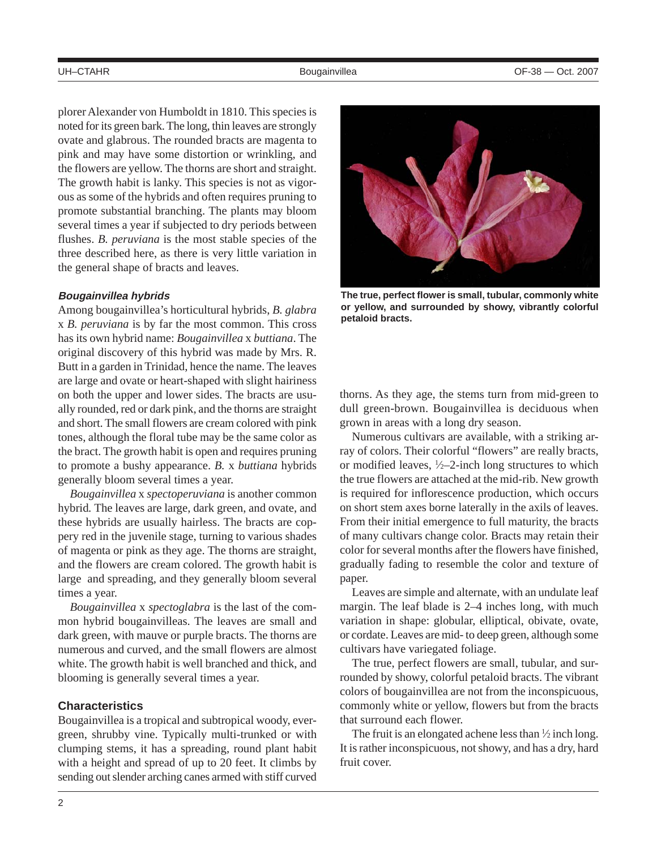plorer Alexander von Humboldt in 1810. This species is noted for its green bark. The long, thin leaves are strongly ovate and glabrous. The rounded bracts are magenta to pink and may have some distortion or wrinkling, and the flowers are yellow. The thorns are short and straight. The growth habit is lanky. This species is not as vigorous as some of the hybrids and often requires pruning to promote substantial branching. The plants may bloom several times a year if subjected to dry periods between flushes. *B. peruviana* is the most stable species of the three described here, as there is very little variation in the general shape of bracts and leaves.

#### **Bougainvillea hybrids**

Among bougainvillea's horticultural hybrids, *B. glabra*  x *B. peruviana* is by far the most common. This cross has its own hybrid name: *Bougainvillea* x *buttiana*. The original discovery of this hybrid was made by Mrs. R. Butt in a garden in Trinidad, hence the name. The leaves are large and ovate or heart-shaped with slight hairiness on both the upper and lower sides. The bracts are usually rounded, red or dark pink, and the thorns are straight and short. The small flowers are cream colored with pink tones, although the floral tube may be the same color as the bract. The growth habit is open and requires pruning to promote a bushy appearance. *B.* x *buttiana* hybrids generally bloom several times a year.

*Bougainvillea* x *spectoperuviana* is another common hybrid*.* The leaves are large, dark green, and ovate, and these hybrids are usually hairless. The bracts are coppery red in the juvenile stage, turning to various shades of magenta or pink as they age. The thorns are straight, and the flowers are cream colored. The growth habit is large and spreading, and they generally bloom several times a year.

*Bougainvillea* x *spectoglabra* is the last of the common hybrid bougainvilleas. The leaves are small and dark green, with mauve or purple bracts. The thorns are numerous and curved, and the small flowers are almost white. The growth habit is well branched and thick, and blooming is generally several times a year.

#### **Characteristics**

Bougainvillea is a tropical and subtropical woody, evergreen, shrubby vine. Typically multi-trunked or with clumping stems, it has a spreading, round plant habit with a height and spread of up to 20 feet. It climbs by sending out slender arching canes armed with stiff curved



**The true, perfect flower is small, tubular, commonly white or yellow, and surrounded by showy, vibrantly colorful petaloid bracts.** 

thorns. As they age, the stems turn from mid-green to dull green-brown. Bougainvillea is deciduous when grown in areas with a long dry season.

Numerous cultivars are available, with a striking array of colors. Their colorful "flowers" are really bracts, or modified leaves,  $\frac{1}{2}$ –2-inch long structures to which the true flowers are attached at the mid-rib. New growth is required for inflorescence production, which occurs on short stem axes borne laterally in the axils of leaves. From their initial emergence to full maturity, the bracts of many cultivars change color. Bracts may retain their color for several months after the flowers have finished, gradually fading to resemble the color and texture of paper.

Leaves are simple and alternate, with an undulate leaf margin. The leaf blade is 2–4 inches long, with much variation in shape: globular, elliptical, obivate, ovate, or cordate. Leaves are mid- to deep green, although some cultivars have variegated foliage.

The true, perfect flowers are small, tubular, and surrounded by showy, colorful petaloid bracts. The vibrant colors of bougainvillea are not from the inconspicuous, commonly white or yellow, flowers but from the bracts that surround each flower.

The fruit is an elongated achene less than  $\frac{1}{2}$  inch long. It is rather inconspicuous, not showy, and has a dry, hard fruit cover.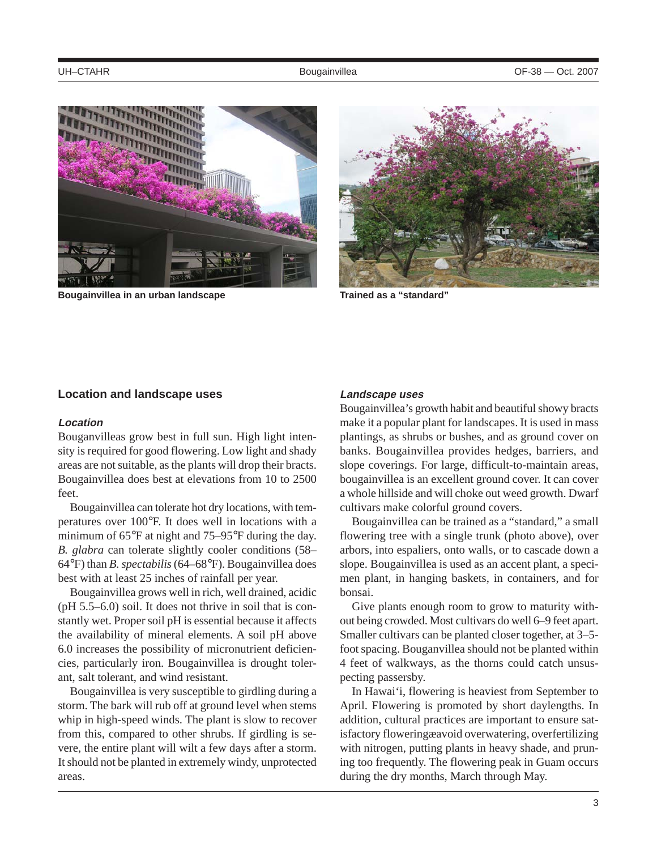

Bougainvillea in an urban landscape **Trained as a "standard**" **Bougainvillea** in an urban landscape



#### **Location and landscape uses**

#### **Location**

Bouganvilleas grow best in full sun. High light intensity is required for good flowering. Low light and shady areas are not suitable, as the plants will drop their bracts. Bougainvillea does best at elevations from 10 to 2500 feet.

Bougainvillea can tolerate hot dry locations, with temperatures over 100°F. It does well in locations with a minimum of 65°F at night and 75–95°F during the day. *B. glabra* can tolerate slightly cooler conditions (58– 64°F) than *B. spectabilis* (64–68°F). Bougainvillea does best with at least 25 inches of rainfall per year.

Bougainvillea grows well in rich, well drained, acidic (pH 5.5–6.0) soil. It does not thrive in soil that is constantly wet. Proper soil pH is essential because it affects the availability of mineral elements. A soil pH above 6.0 increases the possibility of micronutrient deficiencies, particularly iron. Bougainvillea is drought tolerant, salt tolerant, and wind resistant.

Bougainvillea is very susceptible to girdling during a storm. The bark will rub off at ground level when stems whip in high-speed winds. The plant is slow to recover from this, compared to other shrubs. If girdling is severe, the entire plant will wilt a few days after a storm. It should not be planted in extremely windy, unprotected areas.

#### **Landscape uses**

Bougainvillea's growth habit and beautiful showy bracts make it a popular plant for landscapes. It is used in mass plantings, as shrubs or bushes, and as ground cover on banks. Bougainvillea provides hedges, barriers, and slope coverings. For large, difficult-to-maintain areas, bougainvillea is an excellent ground cover. It can cover a whole hillside and will choke out weed growth. Dwarf cultivars make colorful ground covers.

Bougainvillea can be trained as a "standard," a small flowering tree with a single trunk (photo above), over arbors, into espaliers, onto walls, or to cascade down a slope. Bougainvillea is used as an accent plant, a specimen plant, in hanging baskets, in containers, and for bonsai.

Give plants enough room to grow to maturity without being crowded. Most cultivars do well 6–9 feet apart. Smaller cultivars can be planted closer together, at 3–5 foot spacing. Bouganvillea should not be planted within 4 feet of walkways, as the thorns could catch unsuspecting passersby.

In Hawai'i, flowering is heaviest from September to April. Flowering is promoted by short daylengths. In addition, cultural practices are important to ensure satisfactory floweringæavoid overwatering, overfertilizing with nitrogen, putting plants in heavy shade, and pruning too frequently. The flowering peak in Guam occurs during the dry months, March through May.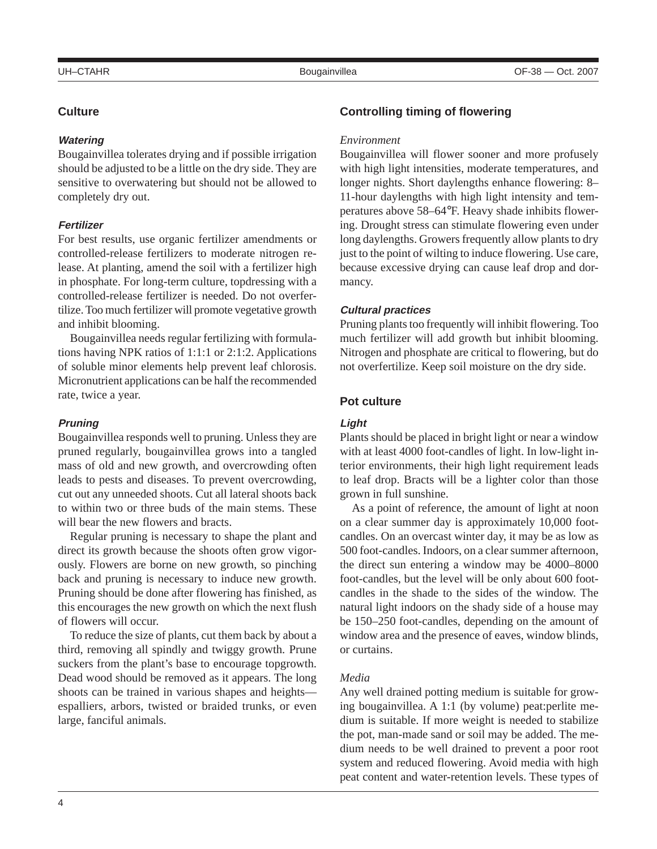## **Culture**

### **Watering**

Bougainvillea tolerates drying and if possible irrigation should be adjusted to be a little on the dry side. They are sensitive to overwatering but should not be allowed to completely dry out.

## **Fertilizer**

For best results, use organic fertilizer amendments or controlled-release fertilizers to moderate nitrogen release. At planting, amend the soil with a fertilizer high in phosphate. For long-term culture, topdressing with a controlled-release fertilizer is needed. Do not overfertilize. Too much fertilizer will promote vegetative growth and inhibit blooming.

Bougainvillea needs regular fertilizing with formulations having NPK ratios of 1:1:1 or 2:1:2. Applications of soluble minor elements help prevent leaf chlorosis. Micronutrient applications can be half the recommended rate, twice a year.

## **Pruning**

Bougainvillea responds well to pruning. Unless they are pruned regularly, bougainvillea grows into a tangled mass of old and new growth, and overcrowding often leads to pests and diseases. To prevent overcrowding, cut out any unneeded shoots. Cut all lateral shoots back to within two or three buds of the main stems. These will bear the new flowers and bracts.

Regular pruning is necessary to shape the plant and direct its growth because the shoots often grow vigorously. Flowers are borne on new growth, so pinching back and pruning is necessary to induce new growth. Pruning should be done after flowering has finished, as this encourages the new growth on which the next flush of flowers will occur.

To reduce the size of plants, cut them back by about a third, removing all spindly and twiggy growth. Prune suckers from the plant's base to encourage topgrowth. Dead wood should be removed as it appears. The long shoots can be trained in various shapes and heights espalliers, arbors, twisted or braided trunks, or even large, fanciful animals.

## **Controlling timing of flowering**

### *Environment*

Bougainvillea will flower sooner and more profusely with high light intensities, moderate temperatures, and longer nights. Short daylengths enhance flowering: 8– 11-hour daylengths with high light intensity and temperatures above 58–64°F. Heavy shade inhibits flowering. Drought stress can stimulate flowering even under long daylengths. Growers frequently allow plants to dry just to the point of wilting to induce flowering. Use care, because excessive drying can cause leaf drop and dormancy.

## **Cultural practices**

Pruning plants too frequently will inhibit flowering. Too much fertilizer will add growth but inhibit blooming. Nitrogen and phosphate are critical to flowering, but do not overfertilize. Keep soil moisture on the dry side.

## **Pot culture**

### **Light**

Plants should be placed in bright light or near a window with at least 4000 foot-candles of light. In low-light interior environments, their high light requirement leads to leaf drop. Bracts will be a lighter color than those grown in full sunshine.

As a point of reference, the amount of light at noon on a clear summer day is approximately 10,000 footcandles. On an overcast winter day, it may be as low as 500 foot-candles. Indoors, on a clear summer afternoon, the direct sun entering a window may be 4000–8000 foot-candles, but the level will be only about 600 footcandles in the shade to the sides of the window. The natural light indoors on the shady side of a house may be 150–250 foot-candles, depending on the amount of window area and the presence of eaves, window blinds, or curtains.

### *Media*

Any well drained potting medium is suitable for growing bougainvillea. A 1:1 (by volume) peat:perlite medium is suitable. If more weight is needed to stabilize the pot, man-made sand or soil may be added. The medium needs to be well drained to prevent a poor root system and reduced flowering. Avoid media with high peat content and water-retention levels. These types of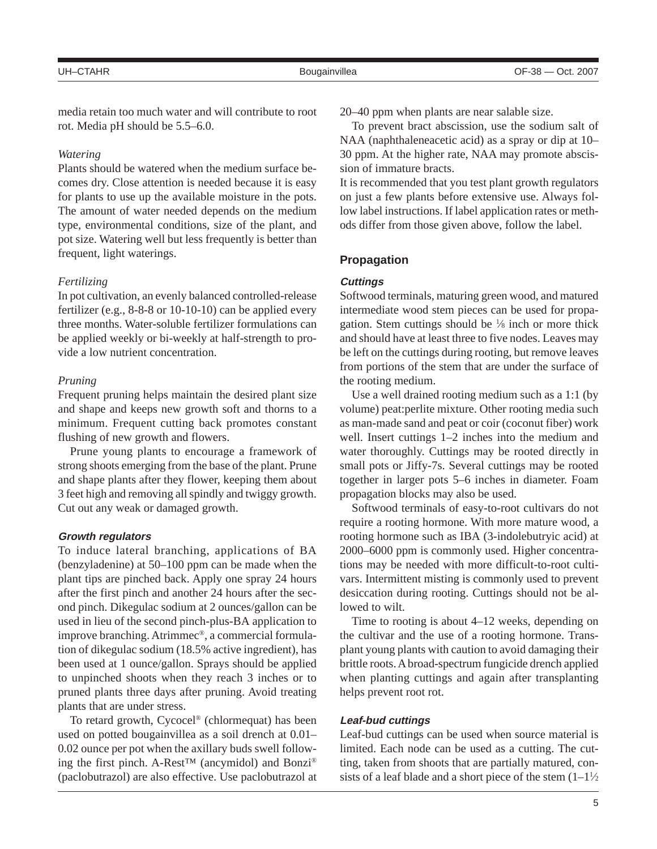media retain too much water and will contribute to root rot. Media pH should be 5.5–6.0.

#### *Watering*

Plants should be watered when the medium surface becomes dry. Close attention is needed because it is easy for plants to use up the available moisture in the pots. The amount of water needed depends on the medium type, environmental conditions, size of the plant, and pot size. Watering well but less frequently is better than frequent, light waterings.

#### *Fertilizing*

In pot cultivation, an evenly balanced controlled-release fertilizer (e.g., 8-8-8 or 10-10-10) can be applied every three months. Water-soluble fertilizer formulations can be applied weekly or bi-weekly at half-strength to provide a low nutrient concentration.

#### *Pruning*

Frequent pruning helps maintain the desired plant size and shape and keeps new growth soft and thorns to a minimum. Frequent cutting back promotes constant flushing of new growth and flowers.

Prune young plants to encourage a framework of strong shoots emerging from the base of the plant. Prune and shape plants after they flower, keeping them about 3 feet high and removing all spindly and twiggy growth. Cut out any weak or damaged growth.

#### **Growth regulators**

To induce lateral branching, applications of BA (benzyladenine) at 50–100 ppm can be made when the plant tips are pinched back. Apply one spray 24 hours after the first pinch and another 24 hours after the second pinch. Dikegulac sodium at 2 ounces/gallon can be used in lieu of the second pinch-plus-BA application to improve branching. Atrimmec®, a commercial formulation of dikegulac sodium (18.5% active ingredient), has been used at 1 ounce/gallon. Sprays should be applied to unpinched shoots when they reach 3 inches or to pruned plants three days after pruning. Avoid treating plants that are under stress.

To retard growth, Cycocel® (chlormequat) has been used on potted bougainvillea as a soil drench at 0.01– 0.02 ounce per pot when the axillary buds swell following the first pinch. A-Rest™ (ancymidol) and Bonzi® (paclobutrazol) are also effective. Use paclobutrazol at 20–40 ppm when plants are near salable size.

To prevent bract abscission, use the sodium salt of NAA (naphthaleneacetic acid) as a spray or dip at 10– 30 ppm. At the higher rate, NAA may promote abscission of immature bracts.

It is recommended that you test plant growth regulators on just a few plants before extensive use. Always follow label instructions. If label application rates or methods differ from those given above, follow the label.

#### **Propagation**

#### **Cuttings**

Softwood terminals, maturing green wood, and matured intermediate wood stem pieces can be used for propagation. Stem cuttings should be  $\frac{1}{8}$  inch or more thick and should have at least three to five nodes. Leaves may be left on the cuttings during rooting, but remove leaves from portions of the stem that are under the surface of the rooting medium.

Use a well drained rooting medium such as a 1:1 (by volume) peat:perlite mixture. Other rooting media such as man-made sand and peat or coir (coconut fiber) work well. Insert cuttings 1–2 inches into the medium and water thoroughly. Cuttings may be rooted directly in small pots or Jiffy-7s. Several cuttings may be rooted together in larger pots 5–6 inches in diameter. Foam propagation blocks may also be used.

Softwood terminals of easy-to-root cultivars do not require a rooting hormone. With more mature wood, a rooting hormone such as IBA (3-indolebutryic acid) at 2000–6000 ppm is commonly used. Higher concentrations may be needed with more difficult-to-root cultivars. Intermittent misting is commonly used to prevent desiccation during rooting. Cuttings should not be allowed to wilt.

Time to rooting is about 4–12 weeks, depending on the cultivar and the use of a rooting hormone. Transplant young plants with caution to avoid damaging their brittle roots. A broad-spectrum fungicide drench applied when planting cuttings and again after transplanting helps prevent root rot.

#### **Leaf-bud cuttings**

Leaf-bud cuttings can be used when source material is limited. Each node can be used as a cutting. The cutting, taken from shoots that are partially matured, consists of a leaf blade and a short piece of the stem  $(1-1\frac{1}{2})$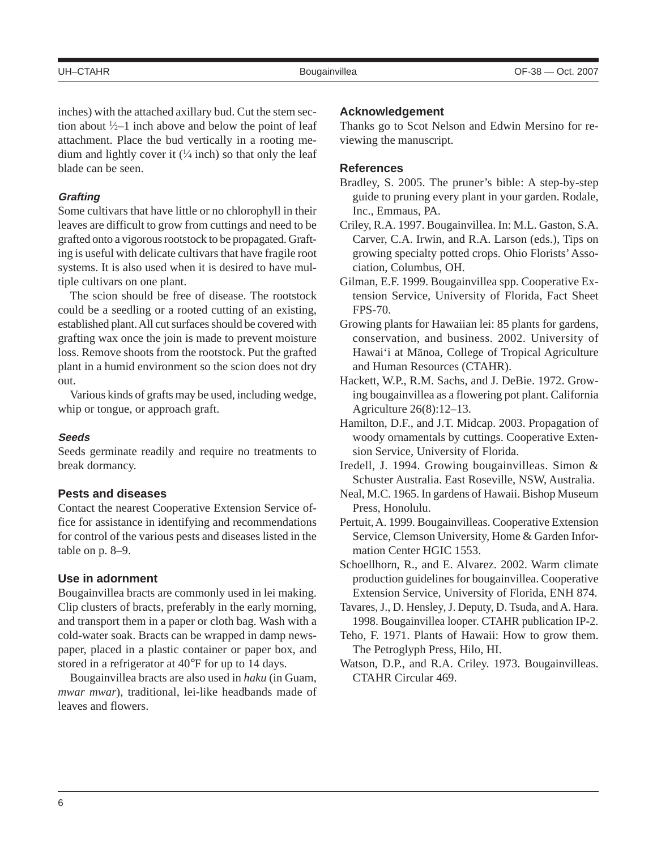inches) with the attached axillary bud. Cut the stem section about  $\frac{1}{2}$ –1 inch above and below the point of leaf attachment. Place the bud vertically in a rooting medium and lightly cover it  $(\frac{1}{4}$  inch) so that only the leaf blade can be seen.

#### **Grafting**

Some cultivars that have little or no chlorophyll in their leaves are difficult to grow from cuttings and need to be grafted onto a vigorous rootstock to be propagated. Grafting is useful with delicate cultivars that have fragile root systems. It is also used when it is desired to have multiple cultivars on one plant.

The scion should be free of disease. The rootstock could be a seedling or a rooted cutting of an existing, established plant. All cut surfaces should be covered with grafting wax once the join is made to prevent moisture loss. Remove shoots from the rootstock. Put the grafted plant in a humid environment so the scion does not dry out.

Various kinds of grafts may be used, including wedge, whip or tongue, or approach graft.

#### **Seeds**

Seeds germinate readily and require no treatments to break dormancy.

#### **Pests and diseases**

Contact the nearest Cooperative Extension Service office for assistance in identifying and recommendations for control of the various pests and diseases listed in the table on p. 8–9.

#### **Use in adornment**

Bougainvillea bracts are commonly used in lei making. Clip clusters of bracts, preferably in the early morning, and transport them in a paper or cloth bag. Wash with a cold-water soak. Bracts can be wrapped in damp newspaper, placed in a plastic container or paper box, and stored in a refrigerator at 40°F for up to 14 days.

Bougainvillea bracts are also used in *haku* (in Guam, *mwar mwar*), traditional, lei-like headbands made of leaves and flowers.

#### **Acknowledgement**

Thanks go to Scot Nelson and Edwin Mersino for reviewing the manuscript.

#### **References**

- Bradley, S. 2005. The pruner's bible: A step-by-step guide to pruning every plant in your garden. Rodale, Inc., Emmaus, PA.
- Criley, R.A. 1997. Bougainvillea. In: M.L. Gaston, S.A. Carver, C.A. Irwin, and R.A. Larson (eds.), Tips on growing specialty potted crops. Ohio Florists' Association, Columbus, OH.
- Gilman, E.F. 1999. Bougainvillea spp. Cooperative Extension Service, University of Florida, Fact Sheet FPS-70.
- Growing plants for Hawaiian lei: 85 plants for gardens, conservation, and business. 2002. University of Hawai'i at M*ä*noa, College of Tropical Agriculture and Human Resources (CTAHR).
- Hackett, W.P., R.M. Sachs, and J. DeBie. 1972. Growing bougainvillea as a flowering pot plant. California Agriculture 26(8):12–13.
- Hamilton, D.F., and J.T. Midcap. 2003. Propagation of woody ornamentals by cuttings. Cooperative Extension Service, University of Florida.
- Iredell, J. 1994. Growing bougainvilleas. Simon & Schuster Australia. East Roseville, NSW, Australia.
- Neal, M.C. 1965. In gardens of Hawaii. Bishop Museum Press, Honolulu.
- Pertuit, A. 1999. Bougainvilleas. Cooperative Extension Service, Clemson University, Home & Garden Information Center HGIC 1553.
- Schoellhorn, R., and E. Alvarez. 2002. Warm climate production guidelines for bougainvillea. Cooperative Extension Service, University of Florida, ENH 874.
- Tavares, J., D. Hensley, J. Deputy, D. Tsuda, and A. Hara. 1998. Bougainvillea looper. CTAHR publication IP-2.
- Teho, F. 1971. Plants of Hawaii: How to grow them. The Petroglyph Press, Hilo, HI.
- Watson, D.P., and R.A. Criley. 1973. Bougainvilleas. CTAHR Circular 469.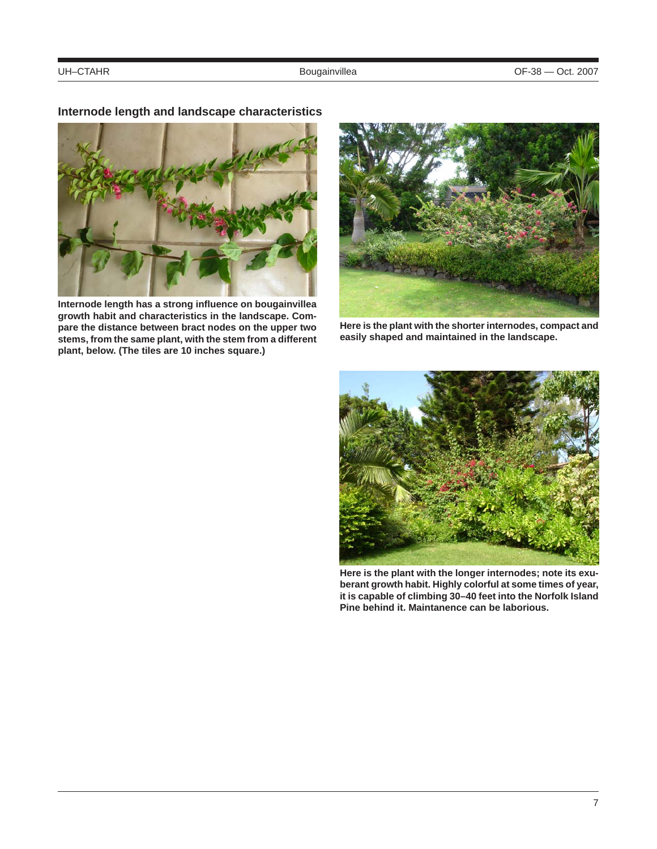

**Internode length has a strong influence on bougainvillea growth habit and characteristics in the landscape. Compare the distance between bract nodes on the upper two stems, from the same plant, with the stem from a different plant, below. (The tiles are 10 inches square.)** 



**Here is the plant with the shorter internodes, compact and easily shaped and maintained in the landscape.** 



**Here is the plant with the longer internodes; note its exuberant growth habit. Highly colorful at some times of year, it is capable of climbing 30–40 feet into the Norfolk Island Pine behind it. Maintanence can be laborious.** 

## **Internode length and landscape characteristics**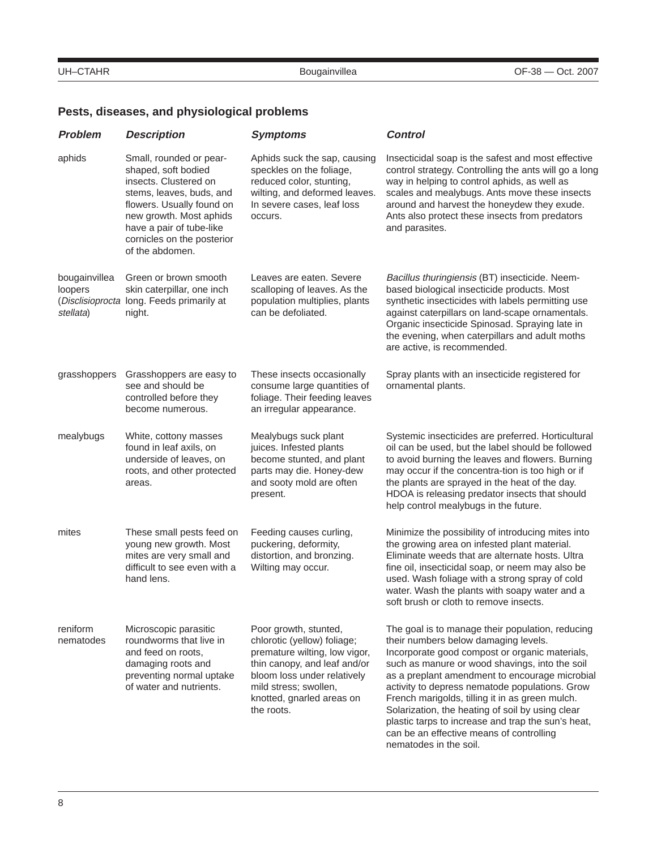## **Pests, diseases, and physiological problems**

| <b>Problem</b>                        | <b>Description</b>                                                                                                                                                                                                                       | <b>Symptoms</b>                                                                                                                                                                                                          | <b>Control</b>                                                                                                                                                                                                                                                                                                                                                                                                                                                                                                                      |
|---------------------------------------|------------------------------------------------------------------------------------------------------------------------------------------------------------------------------------------------------------------------------------------|--------------------------------------------------------------------------------------------------------------------------------------------------------------------------------------------------------------------------|-------------------------------------------------------------------------------------------------------------------------------------------------------------------------------------------------------------------------------------------------------------------------------------------------------------------------------------------------------------------------------------------------------------------------------------------------------------------------------------------------------------------------------------|
| aphids                                | Small, rounded or pear-<br>shaped, soft bodied<br>insects. Clustered on<br>stems, leaves, buds, and<br>flowers. Usually found on<br>new growth. Most aphids<br>have a pair of tube-like<br>cornicles on the posterior<br>of the abdomen. | Aphids suck the sap, causing<br>speckles on the foliage,<br>reduced color, stunting,<br>wilting, and deformed leaves.<br>In severe cases, leaf loss<br>occurs.                                                           | Insecticidal soap is the safest and most effective<br>control strategy. Controlling the ants will go a long<br>way in helping to control aphids, as well as<br>scales and mealybugs. Ants move these insects<br>around and harvest the honeydew they exude.<br>Ants also protect these insects from predators<br>and parasites.                                                                                                                                                                                                     |
| bougainvillea<br>loopers<br>stellata) | Green or brown smooth<br>skin caterpillar, one inch<br>(Disclisioprocta long. Feeds primarily at<br>night.                                                                                                                               | Leaves are eaten. Severe<br>scalloping of leaves. As the<br>population multiplies, plants<br>can be defoliated.                                                                                                          | Bacillus thuringiensis (BT) insecticide. Neem-<br>based biological insecticide products. Most<br>synthetic insecticides with labels permitting use<br>against caterpillars on land-scape ornamentals.<br>Organic insecticide Spinosad. Spraying late in<br>the evening, when caterpillars and adult moths<br>are active, is recommended.                                                                                                                                                                                            |
| grasshoppers                          | Grasshoppers are easy to<br>see and should be<br>controlled before they<br>become numerous.                                                                                                                                              | These insects occasionally<br>consume large quantities of<br>foliage. Their feeding leaves<br>an irregular appearance.                                                                                                   | Spray plants with an insecticide registered for<br>ornamental plants.                                                                                                                                                                                                                                                                                                                                                                                                                                                               |
| mealybugs                             | White, cottony masses<br>found in leaf axils, on<br>underside of leaves, on<br>roots, and other protected<br>areas.                                                                                                                      | Mealybugs suck plant<br>juices. Infested plants<br>become stunted, and plant<br>parts may die. Honey-dew<br>and sooty mold are often<br>present.                                                                         | Systemic insecticides are preferred. Horticultural<br>oil can be used, but the label should be followed<br>to avoid burning the leaves and flowers. Burning<br>may occur if the concentra-tion is too high or if<br>the plants are sprayed in the heat of the day.<br>HDOA is releasing predator insects that should<br>help control mealybugs in the future.                                                                                                                                                                       |
| mites                                 | These small pests feed on<br>young new growth. Most<br>mites are very small and<br>difficult to see even with a<br>hand lens.                                                                                                            | Feeding causes curling,<br>puckering, deformity,<br>distortion, and bronzing.<br>Wilting may occur.                                                                                                                      | Minimize the possibility of introducing mites into<br>the growing area on infested plant material.<br>Eliminate weeds that are alternate hosts. Ultra<br>fine oil, insecticidal soap, or neem may also be<br>used. Wash foliage with a strong spray of cold<br>water. Wash the plants with soapy water and a<br>soft brush or cloth to remove insects.                                                                                                                                                                              |
| reniform<br>nematodes                 | Microscopic parasitic<br>roundworms that live in<br>and feed on roots.<br>damaging roots and<br>preventing normal uptake<br>of water and nutrients.                                                                                      | Poor growth, stunted,<br>chlorotic (yellow) foliage;<br>premature wilting, low vigor,<br>thin canopy, and leaf and/or<br>bloom loss under relatively<br>mild stress; swollen,<br>knotted, gnarled areas on<br>the roots. | The goal is to manage their population, reducing<br>their numbers below damaging levels.<br>Incorporate good compost or organic materials,<br>such as manure or wood shavings, into the soil<br>as a preplant amendment to encourage microbial<br>activity to depress nematode populations. Grow<br>French marigolds, tilling it in as green mulch.<br>Solarization, the heating of soil by using clear<br>plastic tarps to increase and trap the sun's heat,<br>can be an effective means of controlling<br>nematodes in the soil. |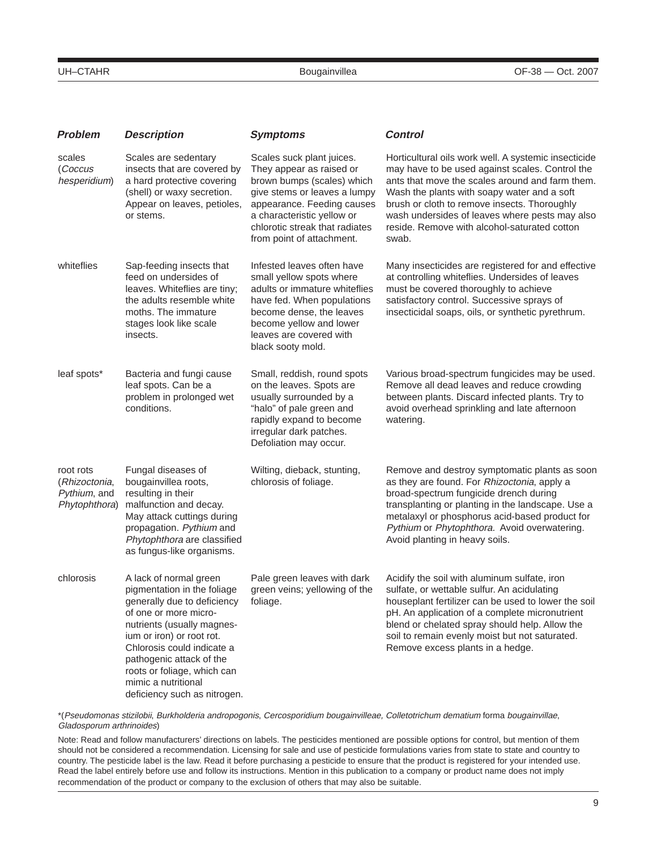| Problem                                                     | <b>Description</b>                                                                                                                                                                                                                                                                                                       | <b>Symptoms</b>                                                                                                                                                                                                                                | <b>Control</b>                                                                                                                                                                                                                                                                                                                                                       |
|-------------------------------------------------------------|--------------------------------------------------------------------------------------------------------------------------------------------------------------------------------------------------------------------------------------------------------------------------------------------------------------------------|------------------------------------------------------------------------------------------------------------------------------------------------------------------------------------------------------------------------------------------------|----------------------------------------------------------------------------------------------------------------------------------------------------------------------------------------------------------------------------------------------------------------------------------------------------------------------------------------------------------------------|
| scales<br>(Coccus<br>hesperidium)                           | Scales are sedentary<br>insects that are covered by<br>a hard protective covering<br>(shell) or waxy secretion.<br>Appear on leaves, petioles,<br>or stems.                                                                                                                                                              | Scales suck plant juices.<br>They appear as raised or<br>brown bumps (scales) which<br>give stems or leaves a lumpy<br>appearance. Feeding causes<br>a characteristic yellow or<br>chlorotic streak that radiates<br>from point of attachment. | Horticultural oils work well. A systemic insecticide<br>may have to be used against scales. Control the<br>ants that move the scales around and farm them.<br>Wash the plants with soapy water and a soft<br>brush or cloth to remove insects. Thoroughly<br>wash undersides of leaves where pests may also<br>reside. Remove with alcohol-saturated cotton<br>swab. |
| whiteflies                                                  | Sap-feeding insects that<br>feed on undersides of<br>leaves. Whiteflies are tiny;<br>the adults resemble white<br>moths. The immature<br>stages look like scale<br>insects.                                                                                                                                              | Infested leaves often have<br>small yellow spots where<br>adults or immature whiteflies<br>have fed. When populations<br>become dense, the leaves<br>become yellow and lower<br>leaves are covered with<br>black sooty mold.                   | Many insecticides are registered for and effective<br>at controlling whiteflies. Undersides of leaves<br>must be covered thoroughly to achieve<br>satisfactory control. Successive sprays of<br>insecticidal soaps, oils, or synthetic pyrethrum.                                                                                                                    |
| leaf spots*                                                 | Bacteria and fungi cause<br>leaf spots. Can be a<br>problem in prolonged wet<br>conditions.                                                                                                                                                                                                                              | Small, reddish, round spots<br>on the leaves. Spots are<br>usually surrounded by a<br>"halo" of pale green and<br>rapidly expand to become<br>irregular dark patches.<br>Defoliation may occur.                                                | Various broad-spectrum fungicides may be used.<br>Remove all dead leaves and reduce crowding<br>between plants. Discard infected plants. Try to<br>avoid overhead sprinkling and late afternoon<br>watering.                                                                                                                                                         |
| root rots<br>(Rhizoctonia,<br>Pythium, and<br>Phytophthora) | Fungal diseases of<br>bougainvillea roots,<br>resulting in their<br>malfunction and decay.<br>May attack cuttings during<br>propagation. Pythium and<br>Phytophthora are classified<br>as fungus-like organisms.                                                                                                         | Wilting, dieback, stunting,<br>chlorosis of foliage.                                                                                                                                                                                           | Remove and destroy symptomatic plants as soon<br>as they are found. For Rhizoctonia, apply a<br>broad-spectrum fungicide drench during<br>transplanting or planting in the landscape. Use a<br>metalaxyl or phosphorus acid-based product for<br>Pythium or Phytophthora. Avoid overwatering.<br>Avoid planting in heavy soils.                                      |
| chlorosis                                                   | A lack of normal green<br>pigmentation in the foliage<br>generally due to deficiency<br>of one or more micro-<br>nutrients (usually magnes-<br>ium or iron) or root rot.<br>Chlorosis could indicate a<br>pathogenic attack of the<br>roots or foliage, which can<br>mimic a nutritional<br>deficiency such as nitrogen. | Pale green leaves with dark<br>green veins; yellowing of the<br>foliage.                                                                                                                                                                       | Acidify the soil with aluminum sulfate, iron<br>sulfate, or wettable sulfur. An acidulating<br>houseplant fertilizer can be used to lower the soil<br>pH. An application of a complete micronutrient<br>blend or chelated spray should help. Allow the<br>soil to remain evenly moist but not saturated.<br>Remove excess plants in a hedge.                         |

\*(Pseudomonas stizilobii, Burkholderia andropogonis, Cercosporidium bougainvilleae, Colletotrichum dematium forma bougainvillae, Gladosporum arthrinoides)

Note: Read and follow manufacturers' directions on labels. The pesticides mentioned are possible options for control, but mention of them should not be considered a recommendation. Licensing for sale and use of pesticide formulations varies from state to state and country to country. The pesticide label is the law. Read it before purchasing a pesticide to ensure that the product is registered for your intended use. Read the label entirely before use and follow its instructions. Mention in this publication to a company or product name does not imply recommendation of the product or company to the exclusion of others that may also be suitable.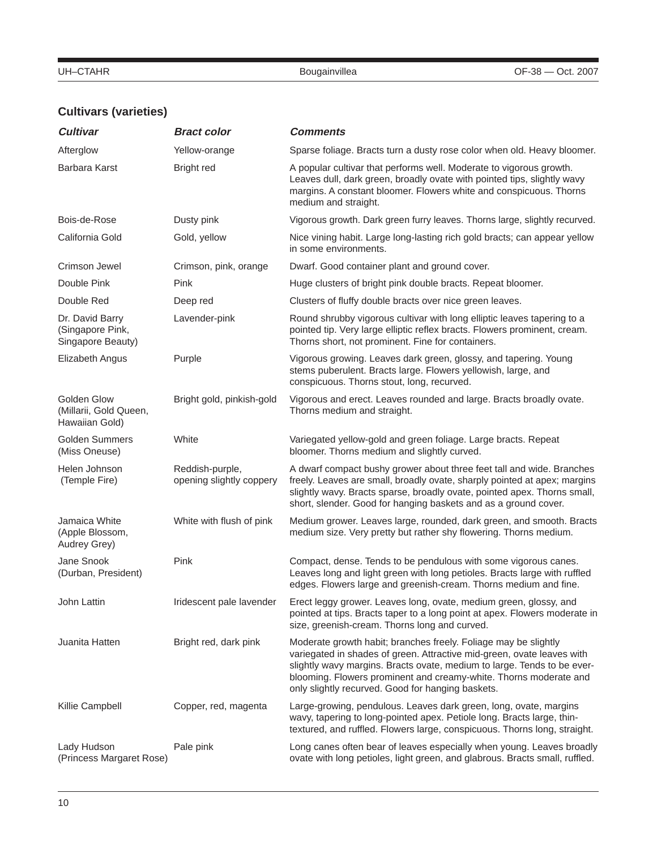## **Cultivars (varieties)**

| <b>Cultivar</b>                                          | <b>Bract color</b>                          | <b>Comments</b>                                                                                                                                                                                                                                                                                                                                |
|----------------------------------------------------------|---------------------------------------------|------------------------------------------------------------------------------------------------------------------------------------------------------------------------------------------------------------------------------------------------------------------------------------------------------------------------------------------------|
| Afterglow                                                | Yellow-orange                               | Sparse foliage. Bracts turn a dusty rose color when old. Heavy bloomer.                                                                                                                                                                                                                                                                        |
| Barbara Karst                                            | <b>Bright red</b>                           | A popular cultivar that performs well. Moderate to vigorous growth.<br>Leaves dull, dark green, broadly ovate with pointed tips, slightly wavy<br>margins. A constant bloomer. Flowers white and conspicuous. Thorns<br>medium and straight.                                                                                                   |
| Bois-de-Rose                                             | Dusty pink                                  | Vigorous growth. Dark green furry leaves. Thorns large, slightly recurved.                                                                                                                                                                                                                                                                     |
| California Gold                                          | Gold, yellow                                | Nice vining habit. Large long-lasting rich gold bracts; can appear yellow<br>in some environments.                                                                                                                                                                                                                                             |
| Crimson Jewel                                            | Crimson, pink, orange                       | Dwarf. Good container plant and ground cover.                                                                                                                                                                                                                                                                                                  |
| Double Pink                                              | Pink                                        | Huge clusters of bright pink double bracts. Repeat bloomer.                                                                                                                                                                                                                                                                                    |
| Double Red                                               | Deep red                                    | Clusters of fluffy double bracts over nice green leaves.                                                                                                                                                                                                                                                                                       |
| Dr. David Barry<br>(Singapore Pink,<br>Singapore Beauty) | Lavender-pink                               | Round shrubby vigorous cultivar with long elliptic leaves tapering to a<br>pointed tip. Very large elliptic reflex bracts. Flowers prominent, cream.<br>Thorns short, not prominent. Fine for containers.                                                                                                                                      |
| Elizabeth Angus                                          | Purple                                      | Vigorous growing. Leaves dark green, glossy, and tapering. Young<br>stems puberulent. Bracts large. Flowers yellowish, large, and<br>conspicuous. Thorns stout, long, recurved.                                                                                                                                                                |
| Golden Glow<br>(Millarii, Gold Queen,<br>Hawaiian Gold)  | Bright gold, pinkish-gold                   | Vigorous and erect. Leaves rounded and large. Bracts broadly ovate.<br>Thorns medium and straight.                                                                                                                                                                                                                                             |
| <b>Golden Summers</b><br>(Miss Oneuse)                   | White                                       | Variegated yellow-gold and green foliage. Large bracts. Repeat<br>bloomer. Thorns medium and slightly curved.                                                                                                                                                                                                                                  |
| Helen Johnson<br>(Temple Fire)                           | Reddish-purple,<br>opening slightly coppery | A dwarf compact bushy grower about three feet tall and wide. Branches<br>freely. Leaves are small, broadly ovate, sharply pointed at apex; margins<br>slightly wavy. Bracts sparse, broadly ovate, pointed apex. Thorns small,<br>short, slender. Good for hanging baskets and as a ground cover.                                              |
| Jamaica White<br>(Apple Blossom,<br>Audrey Grey)         | White with flush of pink                    | Medium grower. Leaves large, rounded, dark green, and smooth. Bracts<br>medium size. Very pretty but rather shy flowering. Thorns medium.                                                                                                                                                                                                      |
| Jane Snook<br>(Durban, President)                        | Pink                                        | Compact, dense. Tends to be pendulous with some vigorous canes.<br>Leaves long and light green with long petioles. Bracts large with ruffled<br>edges. Flowers large and greenish-cream. Thorns medium and fine.                                                                                                                               |
| John Lattin                                              | Iridescent pale lavender                    | Erect leggy grower. Leaves long, ovate, medium green, glossy, and<br>pointed at tips. Bracts taper to a long point at apex. Flowers moderate in<br>size, greenish-cream. Thorns long and curved.                                                                                                                                               |
| Juanita Hatten                                           | Bright red, dark pink                       | Moderate growth habit; branches freely. Foliage may be slightly<br>variegated in shades of green. Attractive mid-green, ovate leaves with<br>slightly wavy margins. Bracts ovate, medium to large. Tends to be ever-<br>blooming. Flowers prominent and creamy-white. Thorns moderate and<br>only slightly recurved. Good for hanging baskets. |
| Killie Campbell                                          | Copper, red, magenta                        | Large-growing, pendulous. Leaves dark green, long, ovate, margins<br>wavy, tapering to long-pointed apex. Petiole long. Bracts large, thin-<br>textured, and ruffled. Flowers large, conspicuous. Thorns long, straight.                                                                                                                       |
| Lady Hudson<br>(Princess Margaret Rose)                  | Pale pink                                   | Long canes often bear of leaves especially when young. Leaves broadly<br>ovate with long petioles, light green, and glabrous. Bracts small, ruffled.                                                                                                                                                                                           |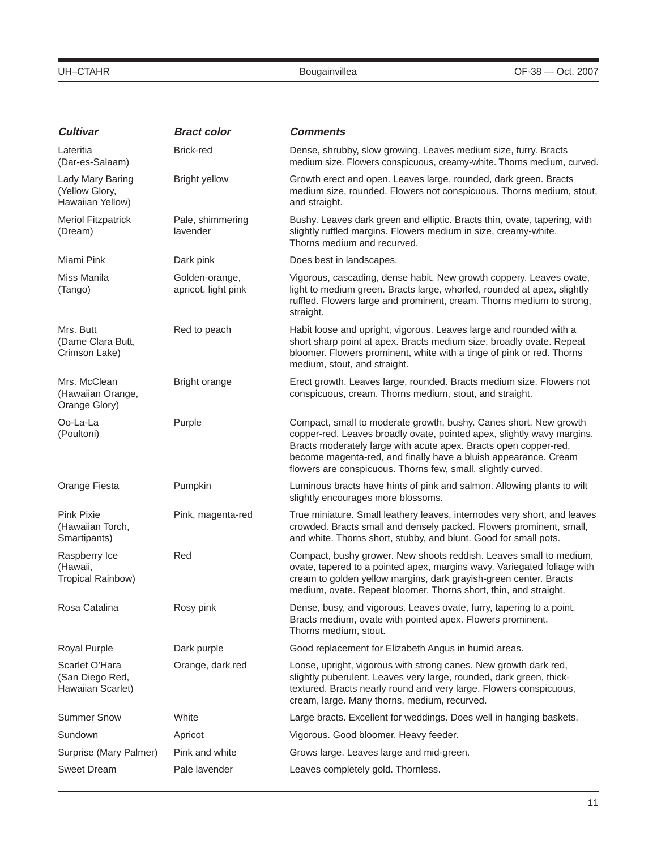| <b>Cultivar</b>                                        | <b>Bract color</b>                    | <b>Comments</b>                                                                                                                                                                                                                                                                                                                                    |
|--------------------------------------------------------|---------------------------------------|----------------------------------------------------------------------------------------------------------------------------------------------------------------------------------------------------------------------------------------------------------------------------------------------------------------------------------------------------|
| Lateritia<br>(Dar-es-Salaam)                           | <b>Brick-red</b>                      | Dense, shrubby, slow growing. Leaves medium size, furry. Bracts<br>medium size. Flowers conspicuous, creamy-white. Thorns medium, curved.                                                                                                                                                                                                          |
| Lady Mary Baring<br>(Yellow Glory,<br>Hawaiian Yellow) | <b>Bright yellow</b>                  | Growth erect and open. Leaves large, rounded, dark green. Bracts<br>medium size, rounded. Flowers not conspicuous. Thorns medium, stout,<br>and straight.                                                                                                                                                                                          |
| <b>Meriol Fitzpatrick</b><br>(Dream)                   | Pale, shimmering<br>lavender          | Bushy. Leaves dark green and elliptic. Bracts thin, ovate, tapering, with<br>slightly ruffled margins. Flowers medium in size, creamy-white.<br>Thorns medium and recurved.                                                                                                                                                                        |
| Miami Pink                                             | Dark pink                             | Does best in landscapes.                                                                                                                                                                                                                                                                                                                           |
| Miss Manila<br>(Tango)                                 | Golden-orange,<br>apricot, light pink | Vigorous, cascading, dense habit. New growth coppery. Leaves ovate,<br>light to medium green. Bracts large, whorled, rounded at apex, slightly<br>ruffled. Flowers large and prominent, cream. Thorns medium to strong,<br>straight.                                                                                                               |
| Mrs. Butt<br>(Dame Clara Butt,<br>Crimson Lake)        | Red to peach                          | Habit loose and upright, vigorous. Leaves large and rounded with a<br>short sharp point at apex. Bracts medium size, broadly ovate. Repeat<br>bloomer. Flowers prominent, white with a tinge of pink or red. Thorns<br>medium, stout, and straight.                                                                                                |
| Mrs. McClean<br>(Hawaiian Orange,<br>Orange Glory)     | Bright orange                         | Erect growth. Leaves large, rounded. Bracts medium size. Flowers not<br>conspicuous, cream. Thorns medium, stout, and straight.                                                                                                                                                                                                                    |
| Oo-La-La<br>(Poultoni)                                 | Purple                                | Compact, small to moderate growth, bushy. Canes short. New growth<br>copper-red. Leaves broadly ovate, pointed apex, slightly wavy margins.<br>Bracts moderately large with acute apex. Bracts open copper-red,<br>become magenta-red, and finally have a bluish appearance. Cream<br>flowers are conspicuous. Thorns few, small, slightly curved. |
| Orange Fiesta                                          | Pumpkin                               | Luminous bracts have hints of pink and salmon. Allowing plants to wilt<br>slightly encourages more blossoms.                                                                                                                                                                                                                                       |
| <b>Pink Pixie</b><br>(Hawaiian Torch,<br>Smartipants)  | Pink, magenta-red                     | True miniature. Small leathery leaves, internodes very short, and leaves<br>crowded. Bracts small and densely packed. Flowers prominent, small,<br>and white. Thorns short, stubby, and blunt. Good for small pots.                                                                                                                                |
| Raspberry Ice<br>(Hawaii,<br>Tropical Rainbow)         | Red                                   | Compact, bushy grower. New shoots reddish. Leaves small to medium,<br>ovate, tapered to a pointed apex, margins wavy. Variegated foliage with<br>cream to golden yellow margins, dark grayish-green center. Bracts<br>medium, ovate. Repeat bloomer. Thorns short, thin, and straight.                                                             |
| Rosa Catalina                                          | Rosy pink                             | Dense, busy, and vigorous. Leaves ovate, furry, tapering to a point.<br>Bracts medium, ovate with pointed apex. Flowers prominent.<br>Thorns medium, stout.                                                                                                                                                                                        |
| Royal Purple                                           | Dark purple                           | Good replacement for Elizabeth Angus in humid areas.                                                                                                                                                                                                                                                                                               |
| Scarlet O'Hara<br>(San Diego Red,<br>Hawaiian Scarlet) | Orange, dark red                      | Loose, upright, vigorous with strong canes. New growth dark red,<br>slightly puberulent. Leaves very large, rounded, dark green, thick-<br>textured. Bracts nearly round and very large. Flowers conspicuous,<br>cream, large. Many thorns, medium, recurved.                                                                                      |
| <b>Summer Snow</b>                                     | White                                 | Large bracts. Excellent for weddings. Does well in hanging baskets.                                                                                                                                                                                                                                                                                |
| Sundown                                                | Apricot                               | Vigorous. Good bloomer. Heavy feeder.                                                                                                                                                                                                                                                                                                              |
| Surprise (Mary Palmer)                                 | Pink and white                        | Grows large. Leaves large and mid-green.                                                                                                                                                                                                                                                                                                           |
| <b>Sweet Dream</b>                                     | Pale lavender                         | Leaves completely gold. Thornless.                                                                                                                                                                                                                                                                                                                 |